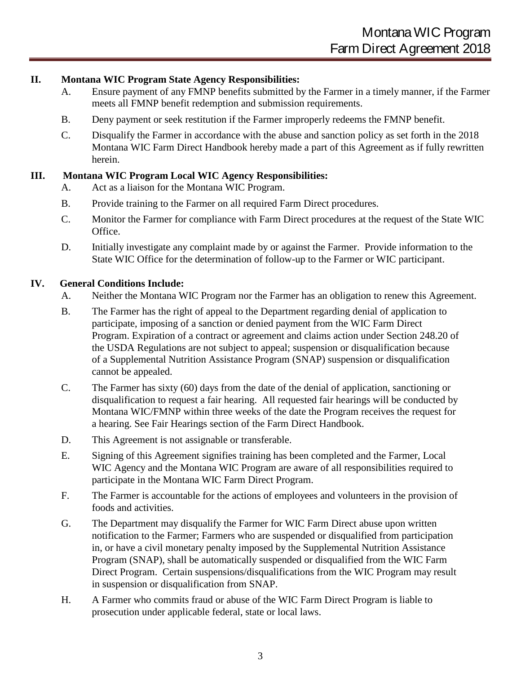## **II. Montana WIC Program State Agency Responsibilities:**

- A. Ensure payment of any FMNP benefits submitted by the Farmer in a timely manner, if the Farmer meets all FMNP benefit redemption and submission requirements.
- B. Deny payment or seek restitution if the Farmer improperly redeems the FMNP benefit.
- C. Disqualify the Farmer in accordance with the abuse and sanction policy as set forth in the 2022 Montana WIC Farm Direct Handbook hereby made a part of this Agreement as if fully rewritten herein.

## **III. Montana WIC Program Local WIC Agency Responsibilities:**

- A. Act as a liaison for the Montana WIC Program.
- B. Provide training to the Farmer on all required Farm Direct procedures.
- C. Monitor the Farmer for compliance with Farm Direct procedures at the request of the State WIC Office.
- D. Initially investigate any complaint made by or against the Farmer. Provide information to the State WIC Office for the determination of follow-up to the Farmer or WIC participant.

## **IV. General Conditions Include:**

- A. Neither the Montana WIC Program nor the Farmer has an obligation to renew this Agreement.
- B. The Farmer has the right of appeal to the Department regarding denial of application to participate, imposing of a sanction or denied payment from the WIC Farm Direct Program. Expiration of a contract or agreement and claims action under Section 248.20 of the USDA Regulations are not subject to appeal; suspension or disqualification because of a Supplemental Nutrition Assistance Program (SNAP) suspension or disqualification cannot be appealed.
- C. The Farmer has sixty (60) days from the date of the denial of application, sanctioning or disqualification to request a fair hearing. All requested fair hearings will be conducted by Montana WIC/FMNP within three weeks of the date the Program receives the request for a hearing. See Fair Hearings section of the Farm Direct Handbook.
- D. This Agreement is not assignable or transferable.
- E. Signing of this Agreement signifies training has been completed and the Farmer, Local WIC Agency and the Montana WIC Program are aware of all responsibilities required to participate in the Montana WIC Farm Direct Program.
- F. The Farmer is accountable for the actions of employees and volunteers in the provision of foods and activities.
- G. The Department may disqualify the Farmer for WIC Farm Direct abuse upon written notification to the Farmer; Farmers who are suspended or disqualified from participation in, or have a civil monetary penalty imposed by the Supplemental Nutrition Assistance Program (SNAP), shall be automatically suspended or disqualified from the WIC Farm Direct Program. Certain suspensions/disqualifications from the WIC Program may result in suspension or disqualification from SNAP.
- H. A Farmer who commits fraud or abuse of the WIC Farm Direct Program is liable to prosecution under applicable federal, state or local laws.